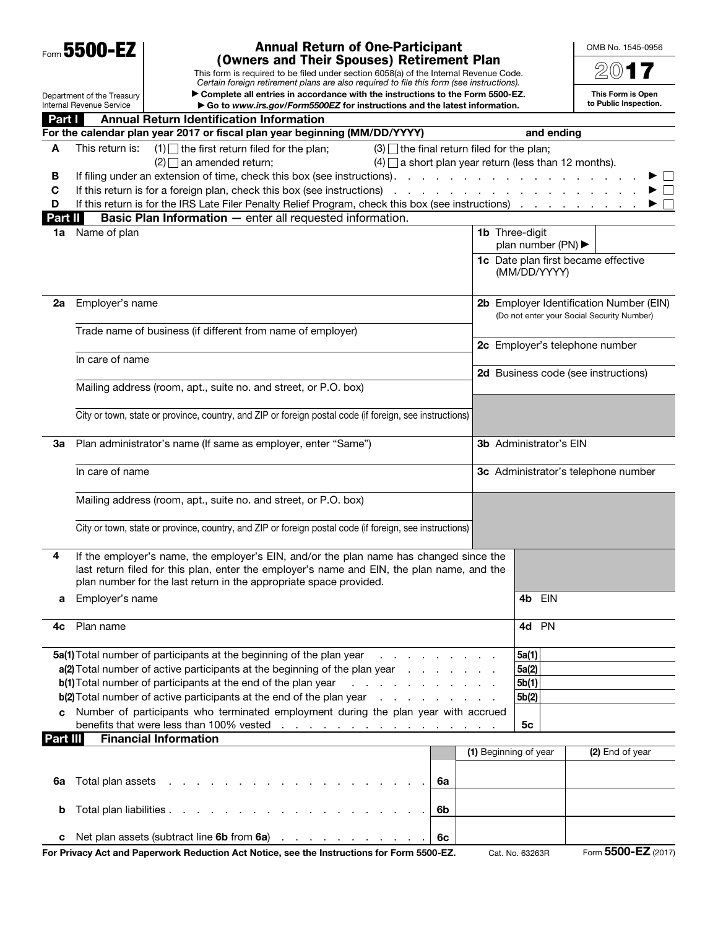| Form 5500-EZ                                                                                                                                                                                                                    |                                                                                                         | <b>Annual Return of One-Participant</b>                                                                                                                                                                                                                                                                                                                          |                                                       |                               |                                            |                                         | OMB No. 1545-0956                   |  |  |
|---------------------------------------------------------------------------------------------------------------------------------------------------------------------------------------------------------------------------------|---------------------------------------------------------------------------------------------------------|------------------------------------------------------------------------------------------------------------------------------------------------------------------------------------------------------------------------------------------------------------------------------------------------------------------------------------------------------------------|-------------------------------------------------------|-------------------------------|--------------------------------------------|-----------------------------------------|-------------------------------------|--|--|
| (Owners and Their Spouses) Retirement Plan<br>This form is required to be filed under section 6058(a) of the Internal Revenue Code.<br>Certain foreign retirement plans are also required to file this form (see instructions). |                                                                                                         |                                                                                                                                                                                                                                                                                                                                                                  |                                                       |                               |                                            |                                         |                                     |  |  |
| ▶ Complete all entries in accordance with the instructions to the Form 5500-EZ.<br>Department of the Treasury                                                                                                                   |                                                                                                         |                                                                                                                                                                                                                                                                                                                                                                  |                                                       |                               |                                            |                                         | This Form is Open                   |  |  |
|                                                                                                                                                                                                                                 | <b>Internal Revenue Service</b>                                                                         | Go to www.irs.gov/Form5500EZ for instructions and the latest information.                                                                                                                                                                                                                                                                                        |                                                       |                               |                                            |                                         | to Public Inspection.               |  |  |
| Part I                                                                                                                                                                                                                          |                                                                                                         | <b>Annual Return Identification Information</b><br>For the calendar plan year 2017 or fiscal plan year beginning (MM/DD/YYYY)                                                                                                                                                                                                                                    |                                                       |                               |                                            | and ending                              |                                     |  |  |
| A                                                                                                                                                                                                                               | This return is:                                                                                         | $(1)$ the first return filed for the plan;                                                                                                                                                                                                                                                                                                                       | $(3)$ the final return filed for the plan;            |                               |                                            |                                         |                                     |  |  |
|                                                                                                                                                                                                                                 |                                                                                                         | $(2)$ an amended return:                                                                                                                                                                                                                                                                                                                                         | $(4)$ a short plan year return (less than 12 months). |                               |                                            |                                         |                                     |  |  |
| В                                                                                                                                                                                                                               |                                                                                                         | If filing under an extension of time, check this box (see instructions).                                                                                                                                                                                                                                                                                         |                                                       | and a state of the            | and the state of the state of the          |                                         | $\mathbf{L}$                        |  |  |
| C                                                                                                                                                                                                                               |                                                                                                         | If this return is for a foreign plan, check this box (see instructions)                                                                                                                                                                                                                                                                                          |                                                       |                               |                                            | the contract of the contract of         | $\Box$                              |  |  |
| D                                                                                                                                                                                                                               |                                                                                                         |                                                                                                                                                                                                                                                                                                                                                                  |                                                       |                               |                                            |                                         |                                     |  |  |
| Part II                                                                                                                                                                                                                         |                                                                                                         | <b>Basic Plan Information - enter all requested information.</b>                                                                                                                                                                                                                                                                                                 |                                                       |                               |                                            |                                         |                                     |  |  |
| 1a                                                                                                                                                                                                                              | Name of plan                                                                                            |                                                                                                                                                                                                                                                                                                                                                                  |                                                       |                               |                                            | 1b Three-digit                          |                                     |  |  |
|                                                                                                                                                                                                                                 |                                                                                                         |                                                                                                                                                                                                                                                                                                                                                                  |                                                       |                               |                                            | plan number (PN) $\blacktriangleright$  |                                     |  |  |
|                                                                                                                                                                                                                                 |                                                                                                         |                                                                                                                                                                                                                                                                                                                                                                  |                                                       |                               |                                            | (MM/DD/YYYY)                            | 1c Date plan first became effective |  |  |
| 2a                                                                                                                                                                                                                              |                                                                                                         | Employer's name                                                                                                                                                                                                                                                                                                                                                  |                                                       |                               |                                            | 2b Employer Identification Number (EIN) |                                     |  |  |
|                                                                                                                                                                                                                                 |                                                                                                         |                                                                                                                                                                                                                                                                                                                                                                  |                                                       |                               | (Do not enter your Social Security Number) |                                         |                                     |  |  |
|                                                                                                                                                                                                                                 |                                                                                                         | Trade name of business (if different from name of employer)                                                                                                                                                                                                                                                                                                      |                                                       |                               |                                            |                                         |                                     |  |  |
|                                                                                                                                                                                                                                 |                                                                                                         |                                                                                                                                                                                                                                                                                                                                                                  |                                                       |                               | 2c Employer's telephone number             |                                         |                                     |  |  |
|                                                                                                                                                                                                                                 | In care of name                                                                                         |                                                                                                                                                                                                                                                                                                                                                                  |                                                       |                               |                                            |                                         |                                     |  |  |
|                                                                                                                                                                                                                                 |                                                                                                         |                                                                                                                                                                                                                                                                                                                                                                  |                                                       |                               |                                            |                                         | 2d Business code (see instructions) |  |  |
|                                                                                                                                                                                                                                 |                                                                                                         | Mailing address (room, apt., suite no. and street, or P.O. box)                                                                                                                                                                                                                                                                                                  |                                                       |                               |                                            |                                         |                                     |  |  |
|                                                                                                                                                                                                                                 |                                                                                                         | City or town, state or province, country, and ZIP or foreign postal code (if foreign, see instructions)                                                                                                                                                                                                                                                          |                                                       |                               |                                            |                                         |                                     |  |  |
|                                                                                                                                                                                                                                 |                                                                                                         |                                                                                                                                                                                                                                                                                                                                                                  |                                                       |                               |                                            |                                         |                                     |  |  |
| 3a                                                                                                                                                                                                                              | Plan administrator's name (If same as employer, enter "Same")                                           |                                                                                                                                                                                                                                                                                                                                                                  |                                                       | <b>3b</b> Administrator's EIN |                                            |                                         |                                     |  |  |
|                                                                                                                                                                                                                                 | In care of name                                                                                         |                                                                                                                                                                                                                                                                                                                                                                  |                                                       |                               |                                            | 3c Administrator's telephone number     |                                     |  |  |
|                                                                                                                                                                                                                                 |                                                                                                         | Mailing address (room, apt., suite no. and street, or P.O. box)                                                                                                                                                                                                                                                                                                  |                                                       |                               |                                            |                                         |                                     |  |  |
|                                                                                                                                                                                                                                 | City or town, state or province, country, and ZIP or foreign postal code (if foreign, see instructions) |                                                                                                                                                                                                                                                                                                                                                                  |                                                       |                               |                                            |                                         |                                     |  |  |
| 4                                                                                                                                                                                                                               |                                                                                                         | If the employer's name, the employer's EIN, and/or the plan name has changed since the                                                                                                                                                                                                                                                                           |                                                       |                               |                                            |                                         |                                     |  |  |
|                                                                                                                                                                                                                                 |                                                                                                         | last return filed for this plan, enter the employer's name and EIN, the plan name, and the                                                                                                                                                                                                                                                                       |                                                       |                               |                                            |                                         |                                     |  |  |
|                                                                                                                                                                                                                                 |                                                                                                         | plan number for the last return in the appropriate space provided.                                                                                                                                                                                                                                                                                               |                                                       |                               |                                            |                                         |                                     |  |  |
| а                                                                                                                                                                                                                               | Employer's name                                                                                         |                                                                                                                                                                                                                                                                                                                                                                  |                                                       |                               |                                            | 4b EIN                                  |                                     |  |  |
| 4с                                                                                                                                                                                                                              | Plan name                                                                                               |                                                                                                                                                                                                                                                                                                                                                                  |                                                       |                               |                                            | 4d PN                                   |                                     |  |  |
|                                                                                                                                                                                                                                 |                                                                                                         | 5a(1) Total number of participants at the beginning of the plan year entitled as a set of the beginning of the plan year and a set of the set of the beginning of the plan year.                                                                                                                                                                                 |                                                       |                               |                                            | 5a(1)                                   |                                     |  |  |
|                                                                                                                                                                                                                                 |                                                                                                         | a(2) Total number of active participants at the beginning of the plan year                                                                                                                                                                                                                                                                                       |                                                       |                               |                                            | 5a(2)                                   |                                     |  |  |
| b(1) Total number of participants at the end of the plan year end of the interval and the blue of the plan year                                                                                                                 |                                                                                                         |                                                                                                                                                                                                                                                                                                                                                                  |                                                       |                               |                                            | 5b(1)                                   |                                     |  |  |
| b(2) Total number of active participants at the end of the plan year                                                                                                                                                            |                                                                                                         |                                                                                                                                                                                                                                                                                                                                                                  |                                                       |                               |                                            | 5b(2)                                   |                                     |  |  |
|                                                                                                                                                                                                                                 |                                                                                                         | Number of participants who terminated employment during the plan year with accrued<br>benefits that were less than 100% vested<br>the contract of the contract of the contract of the contract of the contract of the contract of the contract of the contract of the contract of the contract of the contract of the contract of the contract of the contract o |                                                       |                               |                                            | 5 <sub>c</sub>                          |                                     |  |  |
| Part III                                                                                                                                                                                                                        |                                                                                                         | <b>Financial Information</b>                                                                                                                                                                                                                                                                                                                                     |                                                       |                               |                                            |                                         |                                     |  |  |
|                                                                                                                                                                                                                                 |                                                                                                         |                                                                                                                                                                                                                                                                                                                                                                  |                                                       |                               | (1) Beginning of year                      |                                         | (2) End of year                     |  |  |
|                                                                                                                                                                                                                                 |                                                                                                         |                                                                                                                                                                                                                                                                                                                                                                  |                                                       |                               |                                            |                                         |                                     |  |  |
| 6a                                                                                                                                                                                                                              | Total plan assets                                                                                       | the contract of the contract of the contract of the contract of the contract of the contract of the contract of                                                                                                                                                                                                                                                  |                                                       | 6a                            |                                            |                                         |                                     |  |  |
| b                                                                                                                                                                                                                               |                                                                                                         |                                                                                                                                                                                                                                                                                                                                                                  |                                                       | 6b                            |                                            |                                         |                                     |  |  |
|                                                                                                                                                                                                                                 |                                                                                                         |                                                                                                                                                                                                                                                                                                                                                                  |                                                       |                               |                                            |                                         |                                     |  |  |
| c                                                                                                                                                                                                                               |                                                                                                         | Net plan assets (subtract line 6b from 6a)                                                                                                                                                                                                                                                                                                                       |                                                       | 6с                            |                                            |                                         |                                     |  |  |

For Privacy Act and Paperwork Reduction Act Notice, see the Instructions for Form 5500-EZ. Cat. No. 63263R Form 5500-EZ (2017)